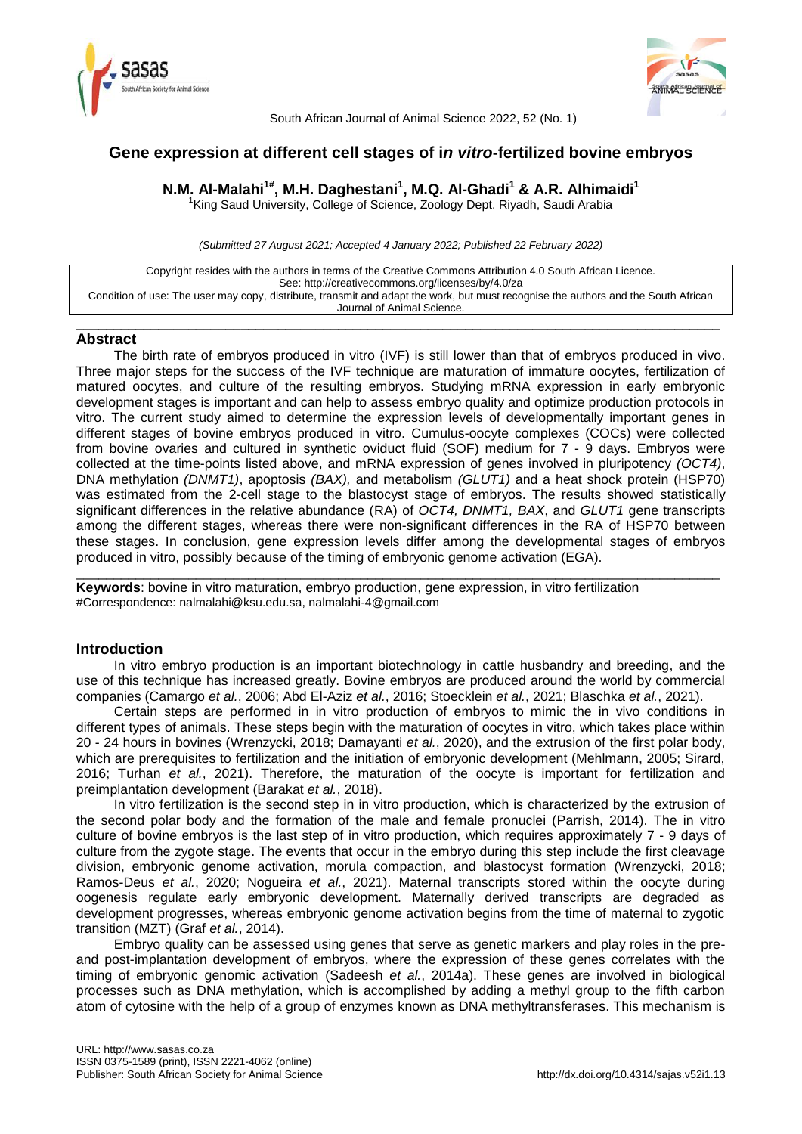



South African Journal of Animal Science 2022, 52 (No. 1)

# **Gene expression at different cell stages of i***n vitro***-fertilized bovine embryos**

**N.M. Al-Malahi1# , M.H. Daghestani<sup>1</sup> , M.Q. Al-Ghadi<sup>1</sup> & A.R. Alhimaidi<sup>1</sup>**

<sup>1</sup>King Saud University, College of Science, Zoology Dept. Riyadh, Saudi Arabia

*(Submitted 27 August 2021; Accepted 4 January 2022; Published 22 February 2022)*

| Copyright resides with the authors in terms of the Creative Commons Attribution 4.0 South African Licence.                         |  |  |  |  |  |
|------------------------------------------------------------------------------------------------------------------------------------|--|--|--|--|--|
| See: http://creativecommons.org/licenses/by/4.0/za                                                                                 |  |  |  |  |  |
|                                                                                                                                    |  |  |  |  |  |
| Condition of use: The user may copy, distribute, transmit and adapt the work, but must recognise the authors and the South African |  |  |  |  |  |
| Journal of Animal Science.                                                                                                         |  |  |  |  |  |

\_\_\_\_\_\_\_\_\_\_\_\_\_\_\_\_\_\_\_\_\_\_\_\_\_\_\_\_\_\_\_\_\_\_\_\_\_\_\_\_\_\_\_\_\_\_\_\_\_\_\_\_\_\_\_\_\_\_\_\_\_\_\_\_\_\_\_\_\_\_\_\_\_\_\_\_\_\_\_\_\_\_\_\_\_\_

## **Abstract**

The birth rate of embryos produced in vitro (IVF) is still lower than that of embryos produced in vivo. Three major steps for the success of the IVF technique are maturation of immature oocytes, fertilization of matured oocytes, and culture of the resulting embryos. Studying mRNA expression in early embryonic development stages is important and can help to assess embryo quality and optimize production protocols in vitro. The current study aimed to determine the expression levels of developmentally important genes in different stages of bovine embryos produced in vitro. Cumulus-oocyte complexes (COCs) were collected from bovine ovaries and cultured in synthetic oviduct fluid (SOF) medium for 7 - 9 days. Embryos were collected at the time-points listed above, and mRNA expression of genes involved in pluripotency *(OCT4)*, DNA methylation *(DNMT1)*, apoptosis *(BAX),* and metabolism *(GLUT1)* and a heat shock protein (HSP70) was estimated from the 2-cell stage to the blastocyst stage of embryos. The results showed statistically significant differences in the relative abundance (RA) of *OCT4, DNMT1, BAX*, and *GLUT1* gene transcripts among the different stages, whereas there were non-significant differences in the RA of HSP70 between these stages. In conclusion, gene expression levels differ among the developmental stages of embryos produced in vitro, possibly because of the timing of embryonic genome activation (EGA).

**Keywords**: bovine in vitro maturation, embryo production, gene expression, in vitro fertilization #Correspondence: nalmalahi@ksu.edu.sa, nalmalahi-4@gmail.com

# **Introduction**

In vitro embryo production is an important biotechnology in cattle husbandry and breeding, and the use of this technique has increased greatly. Bovine embryos are produced around the world by commercial companies (Camargo *et al.*, 2006; Abd El-Aziz *et al.*, 2016; Stoecklein *et al.*, 2021; Blaschka *et al.*, 2021).

\_\_\_\_\_\_\_\_\_\_\_\_\_\_\_\_\_\_\_\_\_\_\_\_\_\_\_\_\_\_\_\_\_\_\_\_\_\_\_\_\_\_\_\_\_\_\_\_\_\_\_\_\_\_\_\_\_\_\_\_\_\_\_\_\_\_\_\_\_\_\_\_\_\_\_\_\_\_\_\_\_\_\_\_\_\_

Certain steps are performed in in vitro production of embryos to mimic the in vivo conditions in different types of animals. These steps begin with the maturation of oocytes in vitro, which takes place within 20 - 24 hours in bovines (Wrenzycki, 2018; Damayanti *et al.*, 2020), and the extrusion of the first polar body, which are prerequisites to fertilization and the initiation of embryonic development (Mehlmann, 2005; Sirard, 2016; Turhan *et al.*, 2021). Therefore, the maturation of the oocyte is important for fertilization and preimplantation development (Barakat *et al.*, 2018).

In vitro fertilization is the second step in in vitro production, which is characterized by the extrusion of the second polar body and the formation of the male and female pronuclei (Parrish, 2014). The in vitro culture of bovine embryos is the last step of in vitro production, which requires approximately 7 - 9 days of culture from the zygote stage. The events that occur in the embryo during this step include the first cleavage division, embryonic genome activation, morula compaction, and blastocyst formation (Wrenzycki, 2018; Ramos-Deus *et al.*, 2020; Nogueira *et al.*, 2021). Maternal transcripts stored within the oocyte during oogenesis regulate early embryonic development. Maternally derived transcripts are degraded as development progresses, whereas embryonic genome activation begins from the time of maternal to zygotic transition (MZT) (Graf *et al.*, 2014).

Embryo quality can be assessed using genes that serve as genetic markers and play roles in the preand post-implantation development of embryos, where the expression of these genes correlates with the timing of embryonic genomic activation (Sadeesh *et al.*, 2014a). These genes are involved in biological processes such as DNA methylation, which is accomplished by adding a methyl group to the fifth carbon atom of cytosine with the help of a group of enzymes known as DNA methyltransferases. This mechanism is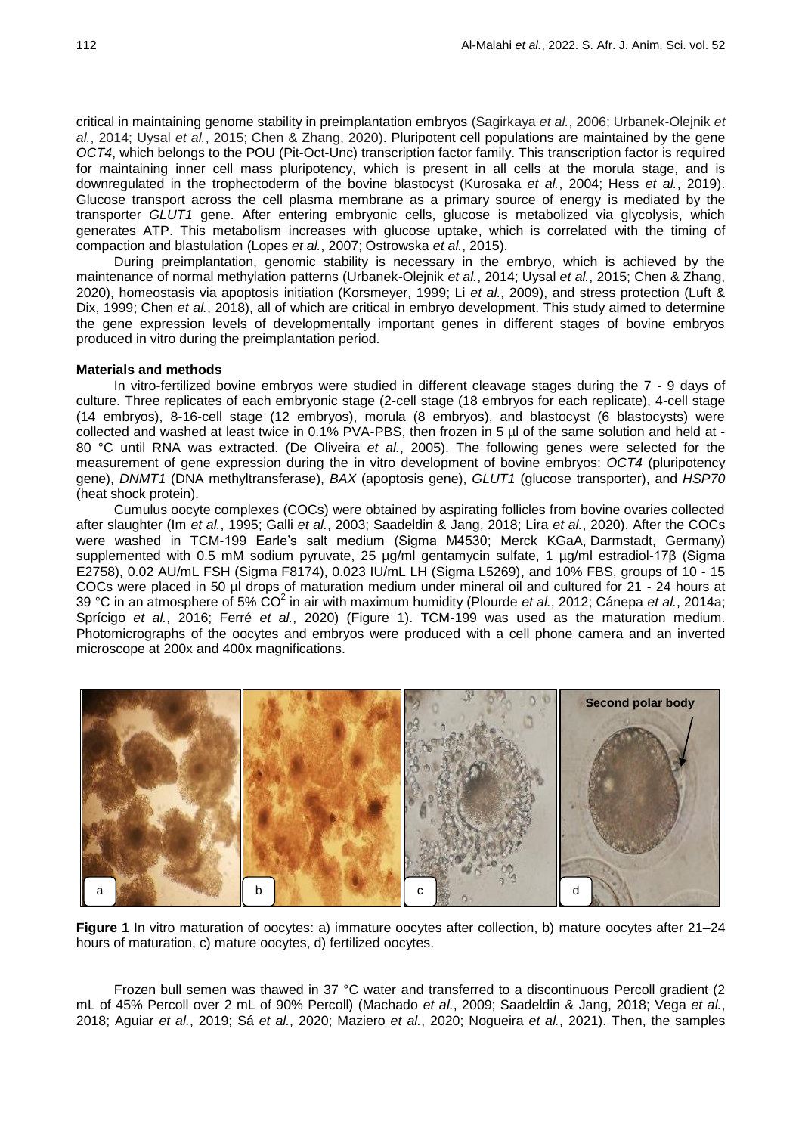critical in maintaining genome stability in preimplantation embryos (Sagirkaya *et al.*, 2006; Urbanek-Olejnik *et al.*, 2014; Uysal *et al.*, 2015; Chen & Zhang, 2020). Pluripotent cell populations are maintained by the gene *OCT4*, which belongs to the POU (Pit-Oct-Unc) transcription factor family. This transcription factor is required for maintaining inner cell mass pluripotency, which is present in all cells at the morula stage, and is downregulated in the trophectoderm of the bovine blastocyst (Kurosaka *et al.*, 2004; Hess *et al.*, 2019). Glucose transport across the cell plasma membrane as a primary source of energy is mediated by the transporter *GLUT1* gene. After entering embryonic cells, glucose is metabolized via glycolysis, which generates ATP. This metabolism increases with glucose uptake, which is correlated with the timing of compaction and blastulation (Lopes *et al.*, 2007; Ostrowska *et al.*, 2015).

During preimplantation, genomic stability is necessary in the embryo, which is achieved by the maintenance of normal methylation patterns (Urbanek-Olejnik *et al.*, 2014; Uysal *et al.*, 2015; Chen & Zhang, 2020), homeostasis via apoptosis initiation (Korsmeyer, 1999; Li *et al.*, 2009), and stress protection (Luft & Dix, 1999; Chen *et al.*, 2018), all of which are critical in embryo development. This study aimed to determine the gene expression levels of developmentally important genes in different stages of bovine embryos produced in vitro during the preimplantation period.

### **Materials and methods**

In vitro-fertilized bovine embryos were studied in different cleavage stages during the 7 - 9 days of culture. Three replicates of each embryonic stage (2-cell stage (18 embryos for each replicate), 4-cell stage (14 embryos), 8-16-cell stage (12 embryos), morula (8 embryos), and blastocyst (6 blastocysts) were collected and washed at least twice in 0.1% PVA-PBS, then frozen in 5 µl of the same solution and held at -80 °C until RNA was extracted. (De Oliveira *et al.*, 2005). The following genes were selected for the measurement of gene expression during the in vitro development of bovine embryos: *OCT4* (pluripotency gene), *DNMT1* (DNA methyltransferase), *BAX* (apoptosis gene), *GLUT1* (glucose transporter), and *HSP70* (heat shock protein).

Cumulus oocyte complexes (COCs) were obtained by aspirating follicles from bovine ovaries collected after slaughter (Im *et al.*, 1995; Galli *et al.*, 2003; Saadeldin & Jang, 2018; Lira *et al.*, 2020). After the COCs were washed in TCM-199 Earle's salt medium (Sigma M4530; Merck KGaA, Darmstadt, Germany) supplemented with 0.5 mM sodium pyruvate, 25 ug/ml gentamycin sulfate, 1 ug/ml estradiol-17β (Sigma E2758), 0.02 AU/mL FSH (Sigma F8174), 0.023 IU/mL LH (Sigma L5269), and 10% FBS, groups of 10 - 15 COCs were placed in 50 µl drops of maturation medium under mineral oil and cultured for 21 - 24 hours at 39 °C in an atmosphere of 5% CO<sup>2</sup> in air with maximum humidity (Plourde *et al.*, 2012; Cánepa *et al.*, 2014a; Sprícigo *et al.*, 2016; Ferré *et al.*, 2020) (Figure 1). TCM-199 was used as the maturation medium. Photomicrographs of the oocytes and embryos were produced with a cell phone camera and an inverted microscope at 200x and 400x magnifications.



**Figure 1** In vitro maturation of oocytes: a) immature oocytes after collection, b) mature oocytes after 21–24 hours of maturation, c) mature oocytes, d) fertilized oocytes.

Frozen bull semen was thawed in 37 °C water and transferred to a discontinuous Percoll gradient (2 mL of 45% Percoll over 2 mL of 90% Percoll) (Machado *et al.*, 2009; Saadeldin & Jang, 2018; Vega *et al.*, 2018; Aguiar *et al.*, 2019; Sá *et al.*, 2020; Maziero *et al.*, 2020; Nogueira *et al.*, 2021). Then, the samples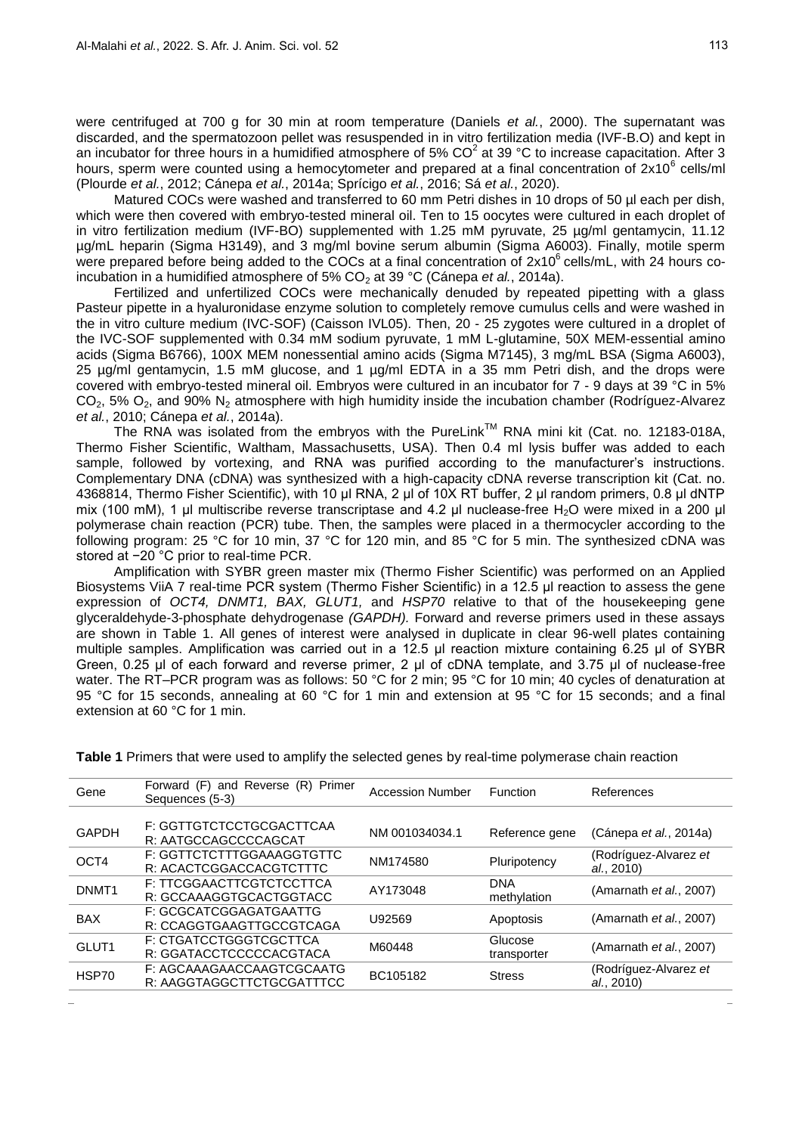were centrifuged at 700 g for 30 min at room temperature (Daniels *et al.*, 2000). The supernatant was discarded, and the spermatozoon pellet was resuspended in in vitro fertilization media (IVF-B.O) and kept in an incubator for three hours in a humidified atmosphere of 5%  $CO^2$  at 39 °C to increase capacitation. After 3 hours, sperm were counted using a hemocytometer and prepared at a final concentration of  $2x10^6$  cells/ml (Plourde *et al.*, 2012; Cánepa *et al.*, 2014a; Sprícigo *et al.*, 2016; Sá *et al.*, 2020).

Matured COCs were washed and transferred to 60 mm Petri dishes in 10 drops of 50 µl each per dish, which were then covered with embryo-tested mineral oil. Ten to 15 oocytes were cultured in each droplet of in vitro fertilization medium (IVF-BO) supplemented with 1.25 mM pyruvate, 25 µg/ml gentamycin, 11.12 µg/mL heparin (Sigma H3149), and 3 mg/ml bovine serum albumin (Sigma A6003). Finally, motile sperm were prepared before being added to the COCs at a final concentration of  $2x10^6$  cells/mL, with 24 hours coincubation in a humidified atmosphere of 5% CO<sub>2</sub> at 39 °C (Cánepa *et al.*, 2014a).

Fertilized and unfertilized COCs were mechanically denuded by repeated pipetting with a glass Pasteur pipette in a hyaluronidase enzyme solution to completely remove cumulus cells and were washed in the in vitro culture medium (IVC-SOF) (Caisson IVL05). Then, 20 - 25 zygotes were cultured in a droplet of the IVC-SOF supplemented with 0.34 mM sodium pyruvate, 1 mM L-glutamine, 50X MEM-essential amino acids (Sigma B6766), 100X MEM nonessential amino acids (Sigma M7145), 3 mg/mL BSA (Sigma A6003), 25 µg/ml gentamycin, 1.5 mM glucose, and 1 µg/ml EDTA in a 35 mm Petri dish, and the drops were covered with embryo-tested mineral oil. Embryos were cultured in an incubator for 7 - 9 days at 39 °C in 5%  $CO<sub>2</sub>$ , 5%  $O<sub>2</sub>$ , and 90% N<sub>2</sub> atmosphere with high humidity inside the incubation chamber (Rodríguez-Alvarez *et al.*, 2010; Cánepa *et al.*, 2014a).

The RNA was isolated from the embryos with the PureLink™ RNA mini kit (Cat. no. 12183-018A, Thermo Fisher Scientific, Waltham, Massachusetts, USA). Then 0.4 ml lysis buffer was added to each sample, followed by vortexing, and RNA was purified according to the manufacturer's instructions. Complementary DNA (cDNA) was synthesized with a high-capacity cDNA reverse transcription kit (Cat. no. 4368814, Thermo Fisher Scientific), with 10 μl RNA, 2 μl of 10X RT buffer, 2 μl random primers, 0.8 μl dNTP mix (100 mM), 1 μl multiscribe reverse transcriptase and 4.2 μl nuclease-free H<sub>2</sub>O were mixed in a 200 μl polymerase chain reaction (PCR) tube. Then, the samples were placed in a thermocycler according to the following program: 25 °C for 10 min, 37 °C for 120 min, and 85 °C for 5 min. The synthesized cDNA was stored at −20 °C prior to real-time PCR.

Amplification with SYBR green master mix (Thermo Fisher Scientific) was performed on an Applied Biosystems ViiA 7 real-time PCR system (Thermo Fisher Scientific) in a 12.5 μl reaction to assess the gene expression of *OCT4, DNMT1, BAX, GLUT1,* and *HSP70* relative to that of the housekeeping gene glyceraldehyde-3-phosphate dehydrogenase *(GAPDH).* Forward and reverse primers used in these assays are shown in Table 1. All genes of interest were analysed in duplicate in clear 96-well plates containing multiple samples. Amplification was carried out in a 12.5 μl reaction mixture containing 6.25 μl of SYBR Green, 0.25 μl of each forward and reverse primer, 2 μl of cDNA template, and 3.75 μl of nuclease-free water. The RT–PCR program was as follows: 50 °C for 2 min; 95 °C for 10 min; 40 cycles of denaturation at 95 °C for 15 seconds, annealing at 60 °C for 1 min and extension at 95 °C for 15 seconds; and a final extension at 60 °C for 1 min.

| Gene              | Forward (F) and Reverse (R) Primer<br>Sequences (5-3)  | <b>Accession Number</b> | Function                  | References                          |
|-------------------|--------------------------------------------------------|-------------------------|---------------------------|-------------------------------------|
|                   |                                                        |                         |                           |                                     |
| <b>GAPDH</b>      | F: GGTTGTCTCCTGCGACTTCAA<br>R: AATGCCAGCCCCAGCAT       | NM 001034034.1          | Reference gene            | (Cánepa et al., 2014a)              |
| OCT4              | F: GGTTCTCTTTGGAAAGGTGTTC<br>R: ACACTCGGACCACGTCTTTC   | NM174580                | Pluripotency              | (Rodríguez-Alvarez et<br>al., 2010) |
| DNMT <sub>1</sub> | F: TTCGGAACTTCGTCTCCTTCA<br>R: GCCAAAGGTGCACTGGTACC    | AY173048                | <b>DNA</b><br>methylation | (Amarnath et al., 2007)             |
| <b>BAX</b>        | F: GCGCATCGGAGATGAATTG<br>R: CCAGGTGAAGTTGCCGTCAGA     | U92569                  | Apoptosis                 | (Amarnath et al., 2007)             |
| GLUT <sub>1</sub> | F: CTGATCCTGGGTCGCTTCA<br>R: GGATACCTCCCCCACGTACA      | M60448                  | Glucose<br>transporter    | (Amarnath et al., 2007)             |
| HSP70             | F: AGCAAAGAACCAAGTCGCAATG<br>R: AAGGTAGGCTTCTGCGATTTCC | BC105182                | <b>Stress</b>             | (Rodríguez-Alvarez et<br>al., 2010) |
|                   |                                                        |                         |                           |                                     |

**Table 1** Primers that were used to amplify the selected genes by real-time polymerase chain reaction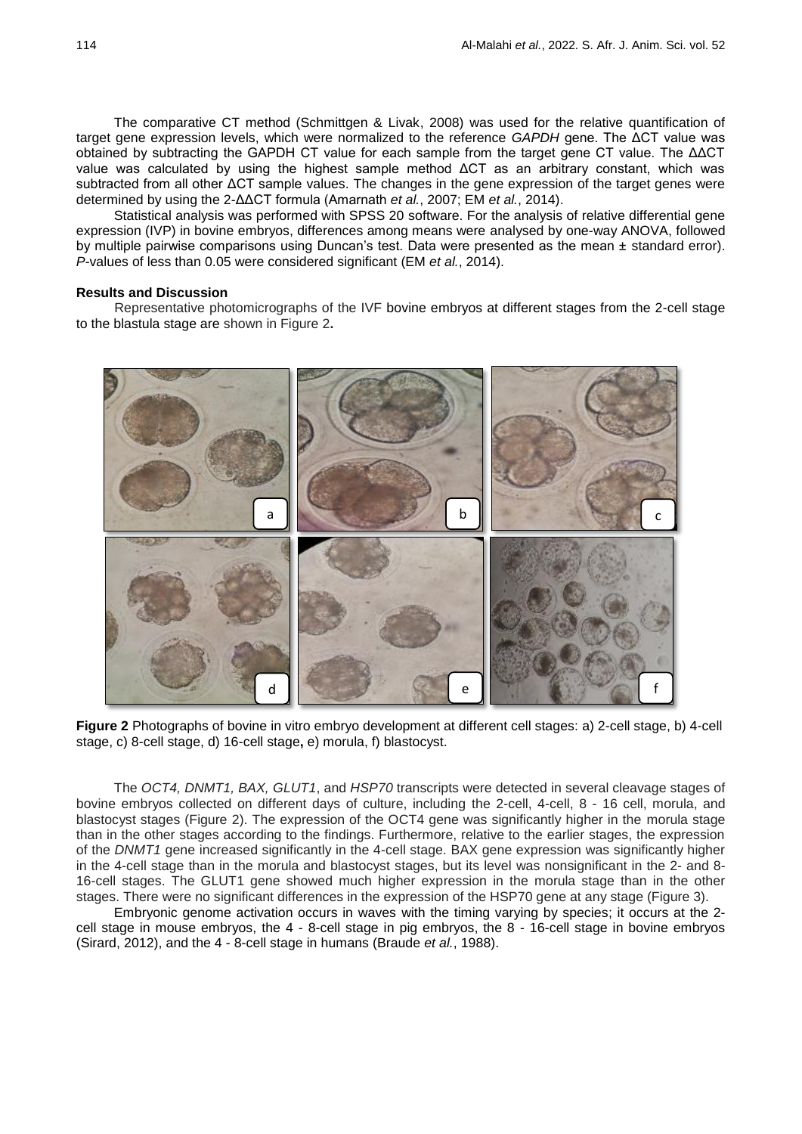The comparative CT method (Schmittgen & Livak, 2008) was used for the relative quantification of target gene expression levels, which were normalized to the reference *GAPDH* gene. The ΔCT value was obtained by subtracting the GAPDH CT value for each sample from the target gene CT value. The ΔΔCT value was calculated by using the highest sample method ΔCT as an arbitrary constant, which was subtracted from all other ΔCT sample values. The changes in the gene expression of the target genes were determined by using the 2-ΔΔCT formula (Amarnath *et al.*, 2007; EM *et al.*, 2014).

Statistical analysis was performed with SPSS 20 software. For the analysis of relative differential gene expression (IVP) in bovine embryos, differences among means were analysed by one-way ANOVA, followed by multiple pairwise comparisons using Duncan's test. Data were presented as the mean ± standard error). *P-*values of less than 0.05 were considered significant (EM *et al.*, 2014).

### **Results and Discussion**

Representative photomicrographs of the IVF bovine embryos at different stages from the 2-cell stage to the blastula stage are shown in Figure 2**.**



**Figure 2** Photographs of bovine in vitro embryo development at different cell stages: a) 2-cell stage, b) 4-cell stage, c) 8-cell stage, d) 16-cell stage**,** e) morula, f) blastocyst.

The *OCT4, DNMT1, BAX, GLUT1*, and *HSP70* transcripts were detected in several cleavage stages of bovine embryos collected on different days of culture, including the 2-cell, 4-cell, 8 - 16 cell, morula, and blastocyst stages (Figure 2). The expression of the OCT4 gene was significantly higher in the morula stage than in the other stages according to the findings. Furthermore, relative to the earlier stages, the expression of the *DNMT1* gene increased significantly in the 4-cell stage. BAX gene expression was significantly higher in the 4-cell stage than in the morula and blastocyst stages, but its level was nonsignificant in the 2- and 8- 16-cell stages. The GLUT1 gene showed much higher expression in the morula stage than in the other stages. There were no significant differences in the expression of the HSP70 gene at any stage (Figure 3).

Embryonic genome activation occurs in waves with the timing varying by species; it occurs at the 2 cell stage in mouse embryos, the 4 - 8-cell stage in pig embryos, the 8 - 16-cell stage in bovine embryos (Sirard, 2012), and the 4 - 8-cell stage in humans (Braude *et al.*, 1988).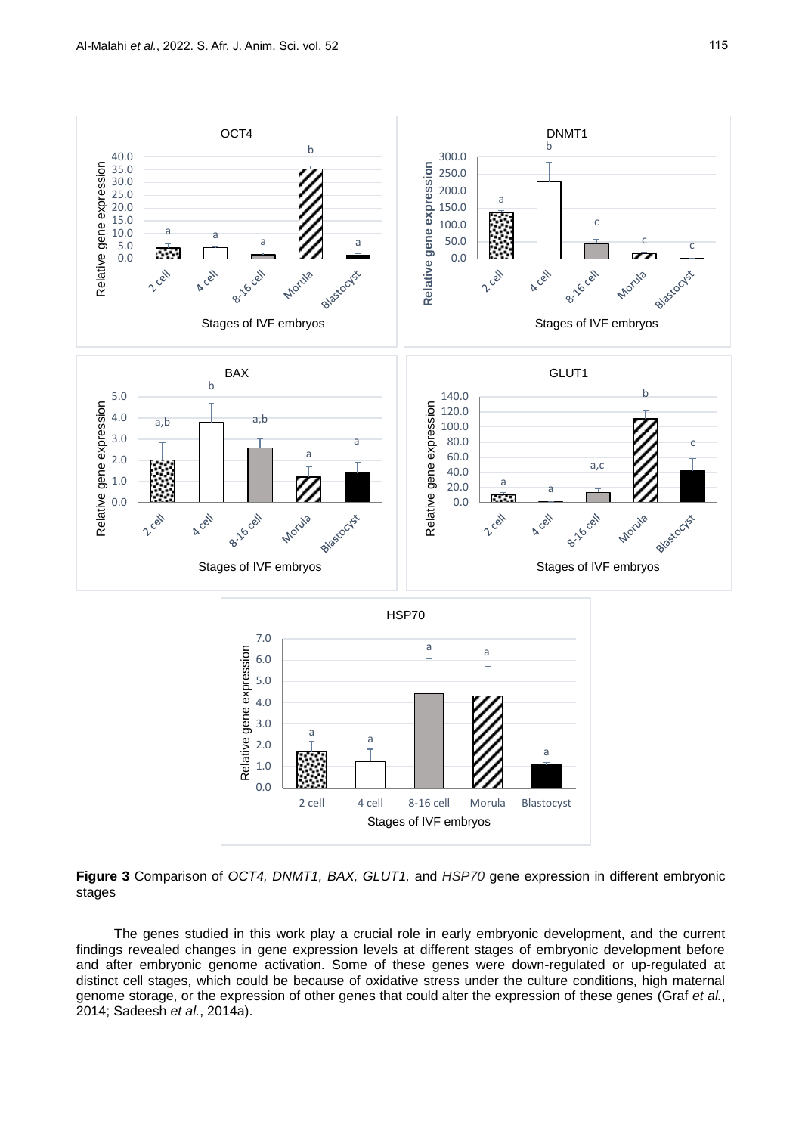

**Figure 3** Comparison of *OCT4, DNMT1, BAX, GLUT1,* and *HSP70* gene expression in different embryonic stages

The genes studied in this work play a crucial role in early embryonic development, and the current findings revealed changes in gene expression levels at different stages of embryonic development before and after embryonic genome activation. Some of these genes were down-regulated or up-regulated at distinct cell stages, which could be because of oxidative stress under the culture conditions, high maternal genome storage, or the expression of other genes that could alter the expression of these genes (Graf *et al.*, 2014; Sadeesh *et al.*, 2014a).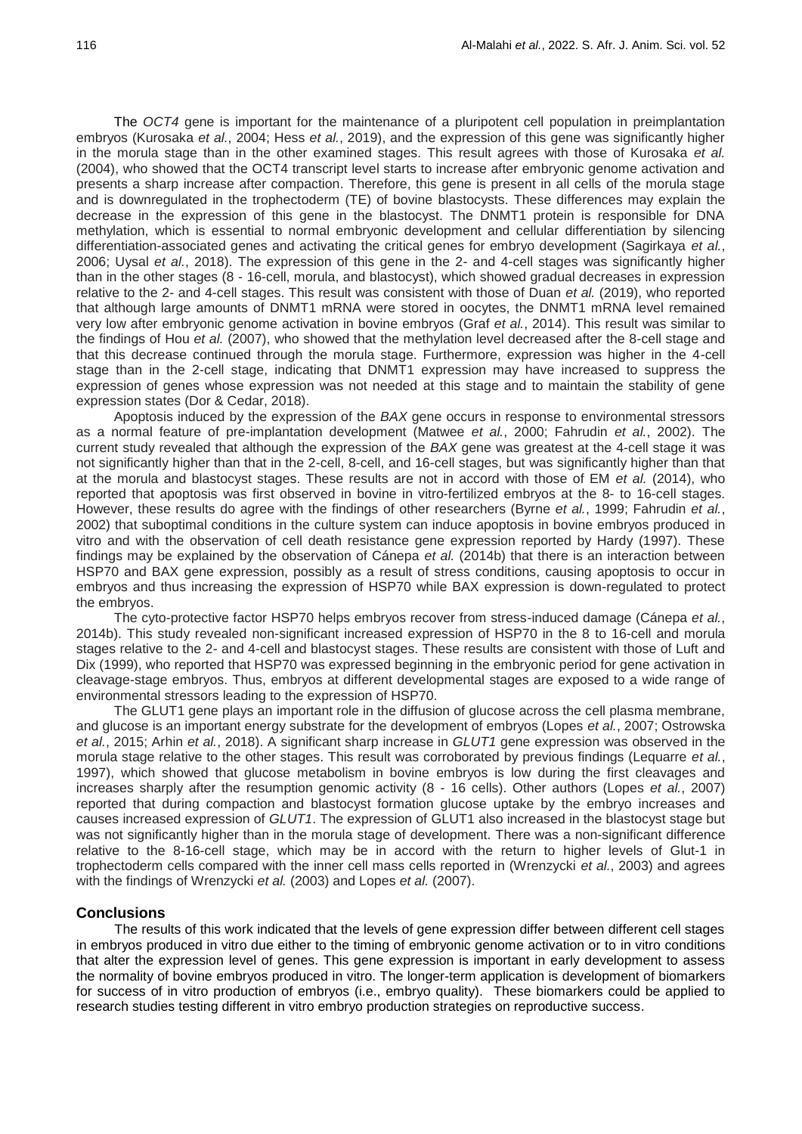The *OCT4* gene is important for the maintenance of a pluripotent cell population in preimplantation embryos (Kurosaka *et al.*, 2004; Hess *et al.*, 2019), and the expression of this gene was significantly higher in the morula stage than in the other examined stages. This result agrees with those of Kurosaka *et al.* (2004), who showed that the OCT4 transcript level starts to increase after embryonic genome activation and presents a sharp increase after compaction. Therefore, this gene is present in all cells of the morula stage and is downregulated in the trophectoderm (TE) of bovine blastocysts. These differences may explain the decrease in the expression of this gene in the blastocyst. The DNMT1 protein is responsible for DNA methylation, which is essential to normal embryonic development and cellular differentiation by silencing differentiation-associated genes and activating the critical genes for embryo development (Sagirkaya *et al.*, 2006; Uysal *et al.*, 2018). The expression of this gene in the 2- and 4-cell stages was significantly higher than in the other stages (8 - 16-cell, morula, and blastocyst), which showed gradual decreases in expression relative to the 2- and 4-cell stages. This result was consistent with those of Duan *et al.* (2019), who reported that although large amounts of DNMT1 mRNA were stored in oocytes, the DNMT1 mRNA level remained very low after embryonic genome activation in bovine embryos (Graf *et al.*, 2014). This result was similar to the findings of Hou *et al.* (2007), who showed that the methylation level decreased after the 8-cell stage and that this decrease continued through the morula stage. Furthermore, expression was higher in the 4-cell stage than in the 2-cell stage, indicating that DNMT1 expression may have increased to suppress the expression of genes whose expression was not needed at this stage and to maintain the stability of gene expression states (Dor & Cedar, 2018).

Apoptosis induced by the expression of the *BAX* gene occurs in response to environmental stressors as a normal feature of pre-implantation development (Matwee *et al.*, 2000; Fahrudin *et al.*, 2002). The current study revealed that although the expression of the *BAX* gene was greatest at the 4-cell stage it was not significantly higher than that in the 2-cell, 8-cell, and 16-cell stages, but was significantly higher than that at the morula and blastocyst stages. These results are not in accord with those of EM *et al.* (2014), who reported that apoptosis was first observed in bovine in vitro-fertilized embryos at the 8- to 16-cell stages. However, these results do agree with the findings of other researchers (Byrne *et al.*, 1999; Fahrudin *et al.*, 2002) that suboptimal conditions in the culture system can induce apoptosis in bovine embryos produced in vitro and with the observation of cell death resistance gene expression reported by Hardy (1997). These findings may be explained by the observation of Cánepa *et al.* (2014b) that there is an interaction between HSP70 and BAX gene expression, possibly as a result of stress conditions, causing apoptosis to occur in embryos and thus increasing the expression of HSP70 while BAX expression is down-regulated to protect the embryos.

The cyto-protective factor HSP70 helps embryos recover from stress-induced damage (Cánepa *et al.*, 2014b). This study revealed non-significant increased expression of HSP70 in the 8 to 16-cell and morula stages relative to the 2- and 4-cell and blastocyst stages. These results are consistent with those of Luft and Dix (1999), who reported that HSP70 was expressed beginning in the embryonic period for gene activation in cleavage-stage embryos. Thus, embryos at different developmental stages are exposed to a wide range of environmental stressors leading to the expression of HSP70.

The GLUT1 gene plays an important role in the diffusion of glucose across the cell plasma membrane, and glucose is an important energy substrate for the development of embryos (Lopes *et al.*, 2007; Ostrowska *et al.*, 2015; Arhin *et al.*, 2018). A significant sharp increase in *GLUT1* gene expression was observed in the morula stage relative to the other stages. This result was corroborated by previous findings (Lequarre *et al.*, 1997), which showed that glucose metabolism in bovine embryos is low during the first cleavages and increases sharply after the resumption genomic activity (8 - 16 cells). Other authors (Lopes *et al.*, 2007) reported that during compaction and blastocyst formation glucose uptake by the embryo increases and causes increased expression of *GLUT1*. The expression of GLUT1 also increased in the blastocyst stage but was not significantly higher than in the morula stage of development. There was a non-significant difference relative to the 8-16-cell stage, which may be in accord with the return to higher levels of Glut-1 in trophectoderm cells compared with the inner cell mass cells reported in (Wrenzycki *et al.*, 2003) and agrees with the findings of Wrenzycki *et al.* (2003) and Lopes *et al.* (2007).

# **Conclusions**

The results of this work indicated that the levels of gene expression differ between different cell stages in embryos produced in vitro due either to the timing of embryonic genome activation or to in vitro conditions that alter the expression level of genes. This gene expression is important in early development to assess the normality of bovine embryos produced in vitro. The longer-term application is development of biomarkers for success of in vitro production of embryos (i.e., embryo quality). These biomarkers could be applied to research studies testing different in vitro embryo production strategies on reproductive success.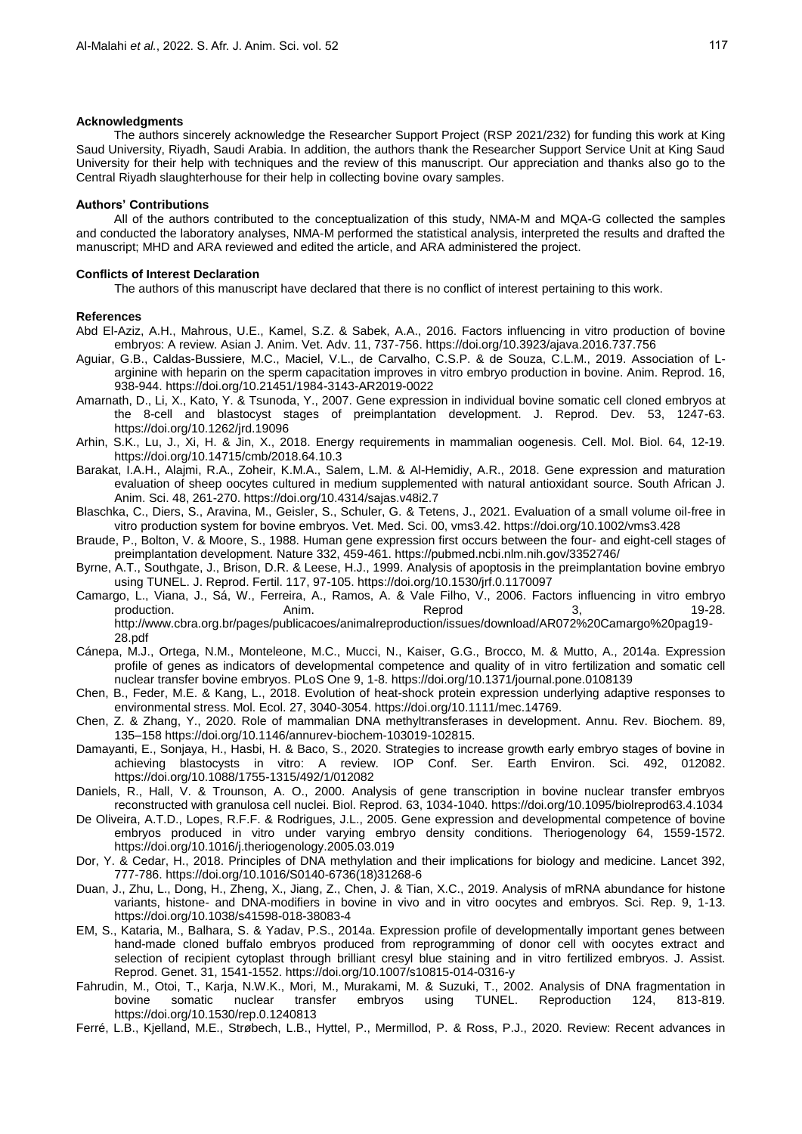#### **Acknowledgments**

The authors sincerely acknowledge the Researcher Support Project (RSP 2021/232) for funding this work at King Saud University, Riyadh, Saudi Arabia. In addition, the authors thank the Researcher Support Service Unit at King Saud University for their help with techniques and the review of this manuscript. Our appreciation and thanks also go to the Central Riyadh slaughterhouse for their help in collecting bovine ovary samples.

### **Authors' Contributions**

All of the authors contributed to the conceptualization of this study, NMA-M and MQA-G collected the samples and conducted the laboratory analyses, NMA-M performed the statistical analysis, interpreted the results and drafted the manuscript; MHD and ARA reviewed and edited the article, and ARA administered the project.

#### **Conflicts of Interest Declaration**

The authors of this manuscript have declared that there is no conflict of interest pertaining to this work.

### **References**

- Abd El-Aziz, A.H., Mahrous, U.E., Kamel, S.Z. & Sabek, A.A., 2016. Factors influencing in vitro production of bovine embryos: A review. Asian J. Anim. Vet. Adv. 11, 737-756. https://doi.org/10.3923/ajava.2016.737.756
- Aguiar, G.B., Caldas-Bussiere, M.C., Maciel, V.L., de Carvalho, C.S.P. & de Souza, C.L.M., 2019. Association of Larginine with heparin on the sperm capacitation improves in vitro embryo production in bovine. Anim. Reprod. 16, 938-944. https://doi.org/10.21451/1984-3143-AR2019-0022
- Amarnath, D., Li, X., Kato, Y. & Tsunoda, Y., 2007. Gene expression in individual bovine somatic cell cloned embryos at the 8-cell and blastocyst stages of preimplantation development. J. Reprod. Dev. 53, 1247-63. https://doi.org/10.1262/jrd.19096
- Arhin, S.K., Lu, J., Xi, H. & Jin, X., 2018. Energy requirements in mammalian oogenesis. Cell. Mol. Biol. 64, 12-19. https://doi.org/10.14715/cmb/2018.64.10.3
- Barakat, I.A.H., Alajmi, R.A., Zoheir, K.M.A., Salem, L.M. & Al-Hemidiy, A.R., 2018. Gene expression and maturation evaluation of sheep oocytes cultured in medium supplemented with natural antioxidant source. South African J. Anim. Sci. 48, 261-270. https://doi.org/10.4314/sajas.v48i2.7
- Blaschka, C., Diers, S., Aravina, M., Geisler, S., Schuler, G. & Tetens, J., 2021. Evaluation of a small volume oil‐free in vitro production system for bovine embryos. Vet. Med. Sci. 00, vms3.42. https://doi.org/10.1002/vms3.428
- Braude, P., Bolton, V. & Moore, S., 1988. Human gene expression first occurs between the four- and eight-cell stages of preimplantation development. Nature 332, 459-461. https://pubmed.ncbi.nlm.nih.gov/3352746/
- Byrne, A.T., Southgate, J., Brison, D.R. & Leese, H.J., 1999. Analysis of apoptosis in the preimplantation bovine embryo using TUNEL. J. Reprod. Fertil. 117, 97-105. https://doi.org/10.1530/jrf.0.1170097
- Camargo, L., Viana, J., Sá, W., Ferreira, A., Ramos, A. & Vale Filho, V., 2006. Factors influencing in vitro embryo production. Anim. Reprod 3, 19-28. http://www.cbra.org.br/pages/publicacoes/animalreproduction/issues/download/AR072%20Camargo%20pag19- 28.pdf
- Cánepa, M.J., Ortega, N.M., Monteleone, M.C., Mucci, N., Kaiser, G.G., Brocco, M. & Mutto, A., 2014a. Expression profile of genes as indicators of developmental competence and quality of in vitro fertilization and somatic cell nuclear transfer bovine embryos. PLoS One 9, 1-8. https://doi.org/10.1371/journal.pone.0108139
- Chen, B., Feder, M.E. & Kang, L., 2018. Evolution of heat-shock protein expression underlying adaptive responses to environmental stress. Mol. Ecol. 27, 3040-3054. https://doi.org/10.1111/mec.14769.
- Chen, Z. & Zhang, Y., 2020. Role of mammalian DNA methyltransferases in development. Annu. Rev. Biochem. 89, 135–158 https://doi.org/10.1146/annurev-biochem-103019-102815.
- Damayanti, E., Sonjaya, H., Hasbi, H. & Baco, S., 2020. Strategies to increase growth early embryo stages of bovine in achieving blastocysts in vitro: A review. IOP Conf. Ser. Earth Environ. Sci. 492, 012082. https://doi.org/10.1088/1755-1315/492/1/012082
- Daniels, R., Hall, V. & Trounson, A. O., 2000. Analysis of gene transcription in bovine nuclear transfer embryos reconstructed with granulosa cell nuclei. Biol. Reprod. 63, 1034-1040. https://doi.org/10.1095/biolreprod63.4.1034
- De Oliveira, A.T.D., Lopes, R.F.F. & Rodrigues, J.L., 2005. Gene expression and developmental competence of bovine embryos produced in vitro under varying embryo density conditions. Theriogenology 64, 1559-1572. https://doi.org/10.1016/j.theriogenology.2005.03.019
- Dor, Y. & Cedar, H., 2018. Principles of DNA methylation and their implications for biology and medicine. Lancet 392, 777-786. https://doi.org/10.1016/S0140-6736(18)31268-6
- Duan, J., Zhu, L., Dong, H., Zheng, X., Jiang, Z., Chen, J. & Tian, X.C., 2019. Analysis of mRNA abundance for histone variants, histone- and DNA-modifiers in bovine in vivo and in vitro oocytes and embryos. Sci. Rep. 9, 1-13. https://doi.org/10.1038/s41598-018-38083-4
- EM, S., Kataria, M., Balhara, S. & Yadav, P.S., 2014a. Expression profile of developmentally important genes between hand-made cloned buffalo embryos produced from reprogramming of donor cell with oocytes extract and selection of recipient cytoplast through brilliant cresyl blue staining and in vitro fertilized embryos. J. Assist. Reprod. Genet. 31, 1541-1552. https://doi.org/10.1007/s10815-014-0316-y
- Fahrudin, M., Otoi, T., Karja, N.W.K., Mori, M., Murakami, M. & Suzuki, T., 2002. Analysis of DNA fragmentation in bovine somatic nuclear transfer embryos using TUNEL. Reproduction 124, 813-819. https://doi.org/10.1530/rep.0.1240813
- Ferré, L.B., Kjelland, M.E., Strøbech, L.B., Hyttel, P., Mermillod, P. & Ross, P.J., 2020. Review: Recent advances in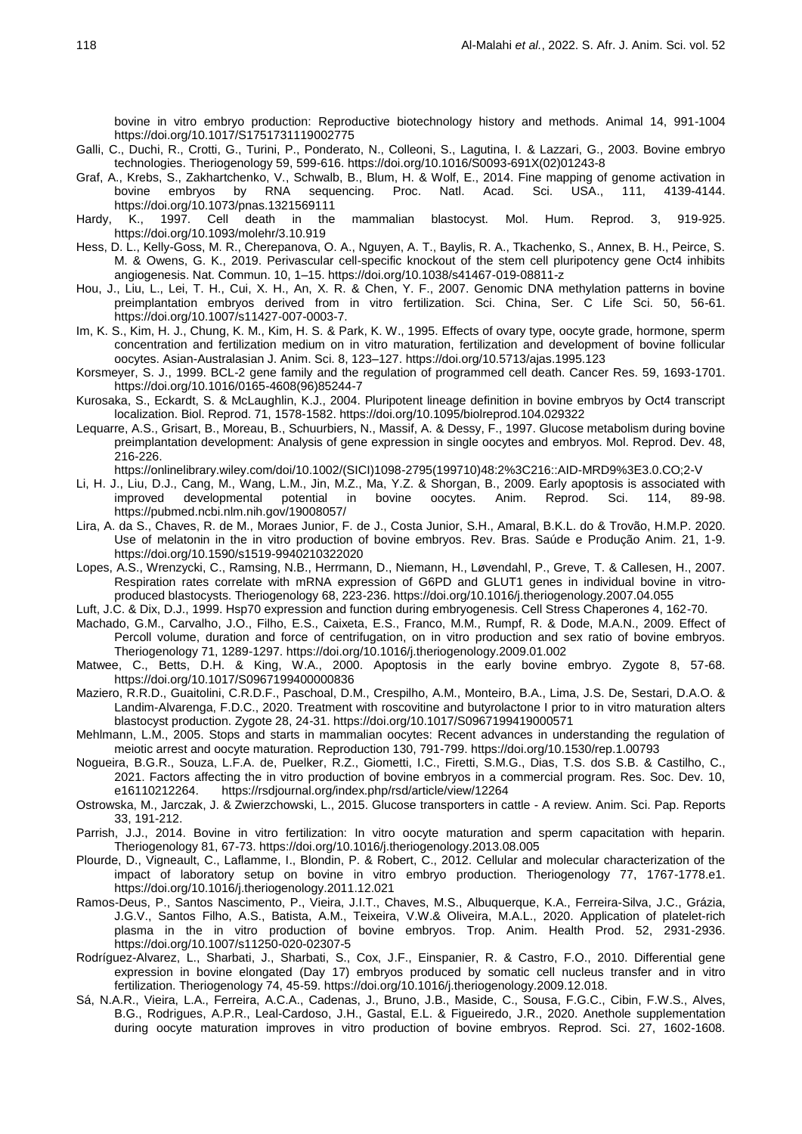bovine in vitro embryo production: Reproductive biotechnology history and methods. Animal 14, 991-1004 https://doi.org/10.1017/S1751731119002775

- Galli, C., Duchi, R., Crotti, G., Turini, P., Ponderato, N., Colleoni, S., Lagutina, I. & Lazzari, G., 2003. Bovine embryo technologies. Theriogenology 59, 599-616. https://doi.org/10.1016/S0093-691X(02)01243-8
- Graf, A., Krebs, S., Zakhartchenko, V., Schwalb, B., Blum, H. & Wolf, E., 2014. Fine mapping of genome activation in bovine embryos by RNA sequencing. Proc. Natl. Acad. Sci. USA., 111, 4139-4144. https://doi.org/10.1073/pnas.1321569111
- Hardy, K., 1997. Cell death in the mammalian blastocyst. Mol. Hum. Reprod. 3, 919-925. https://doi.org/10.1093/molehr/3.10.919
- Hess, D. L., Kelly-Goss, M. R., Cherepanova, O. A., Nguyen, A. T., Baylis, R. A., Tkachenko, S., Annex, B. H., Peirce, S. M. & Owens, G. K., 2019. Perivascular cell-specific knockout of the stem cell pluripotency gene Oct4 inhibits angiogenesis. Nat. Commun. 10, 1–15. https://doi.org/10.1038/s41467-019-08811-z
- Hou, J., Liu, L., Lei, T. H., Cui, X. H., An, X. R. & Chen, Y. F., 2007. Genomic DNA methylation patterns in bovine preimplantation embryos derived from in vitro fertilization. Sci. China, Ser. C Life Sci. 50, 56-61. https://doi.org/10.1007/s11427-007-0003-7.
- Im, K. S., Kim, H. J., Chung, K. M., Kim, H. S. & Park, K. W., 1995. Effects of ovary type, oocyte grade, hormone, sperm concentration and fertilization medium on in vitro maturation, fertilization and development of bovine follicular oocytes. Asian-Australasian J. Anim. Sci. 8, 123–127. https://doi.org/10.5713/ajas.1995.123
- Korsmeyer, S. J., 1999. BCL-2 gene family and the regulation of programmed cell death. Cancer Res. 59, 1693-1701. https://doi.org/10.1016/0165-4608(96)85244-7
- Kurosaka, S., Eckardt, S. & McLaughlin, K.J., 2004. Pluripotent lineage definition in bovine embryos by Oct4 transcript localization. Biol. Reprod. 71, 1578-1582. https://doi.org/10.1095/biolreprod.104.029322
- Lequarre, A.S., Grisart, B., Moreau, B., Schuurbiers, N., Massif, A. & Dessy, F., 1997. Glucose metabolism during bovine preimplantation development: Analysis of gene expression in single oocytes and embryos. Mol. Reprod. Dev. 48, 216-226.

https://onlinelibrary.wiley.com/doi/10.1002/(SICI)1098-2795(199710)48:2%3C216::AID-MRD9%3E3.0.CO;2-V

- Li, H. J., Liu, D.J., Cang, M., Wang, L.M., Jin, M.Z., Ma, Y.Z. & Shorgan, B., 2009. Early apoptosis is associated with improved developmental potential in bovine oocytes. Anim. Reprod. Sci. 114, 89-98. https://pubmed.ncbi.nlm.nih.gov/19008057/
- Lira, A. da S., Chaves, R. de M., Moraes Junior, F. de J., Costa Junior, S.H., Amaral, B.K.L. do & Trovão, H.M.P. 2020. Use of melatonin in the in vitro production of bovine embryos. Rev. Bras. Saúde e Produção Anim. 21, 1-9. https://doi.org/10.1590/s1519-9940210322020
- Lopes, A.S., Wrenzycki, C., Ramsing, N.B., Herrmann, D., Niemann, H., Løvendahl, P., Greve, T. & Callesen, H., 2007. Respiration rates correlate with mRNA expression of G6PD and GLUT1 genes in individual bovine in vitroproduced blastocysts. Theriogenology 68, 223-236. https://doi.org/10.1016/j.theriogenology.2007.04.055
- Luft, J.C. & Dix, D.J., 1999. Hsp70 expression and function during embryogenesis. Cell Stress Chaperones 4, 162-70.
- Machado, G.M., Carvalho, J.O., Filho, E.S., Caixeta, E.S., Franco, M.M., Rumpf, R. & Dode, M.A.N., 2009. Effect of Percoll volume, duration and force of centrifugation, on in vitro production and sex ratio of bovine embryos. Theriogenology 71, 1289-1297. https://doi.org/10.1016/j.theriogenology.2009.01.002
- Matwee, C., Betts, D.H. & King, W.A., 2000. Apoptosis in the early bovine embryo. Zygote 8, 57-68. https://doi.org/10.1017/S0967199400000836
- Maziero, R.R.D., Guaitolini, C.R.D.F., Paschoal, D.M., Crespilho, A.M., Monteiro, B.A., Lima, J.S. De, Sestari, D.A.O. & Landim-Alvarenga, F.D.C., 2020. Treatment with roscovitine and butyrolactone I prior to in vitro maturation alters blastocyst production. Zygote 28, 24-31. https://doi.org/10.1017/S0967199419000571
- Mehlmann, L.M., 2005. Stops and starts in mammalian oocytes: Recent advances in understanding the regulation of meiotic arrest and oocyte maturation. Reproduction 130, 791-799. https://doi.org/10.1530/rep.1.00793
- Nogueira, B.G.R., Souza, L.F.A. de, Puelker, R.Z., Giometti, I.C., Firetti, S.M.G., Dias, T.S. dos S.B. & Castilho, C., 2021. Factors affecting the in vitro production of bovine embryos in a commercial program. Res. Soc. Dev. 10, e16110212264. https://rsdjournal.org/index.php/rsd/article/view/12264
- Ostrowska, M., Jarczak, J. & Zwierzchowski, L., 2015. Glucose transporters in cattle A review. Anim. Sci. Pap. Reports 33, 191-212.
- Parrish, J.J., 2014. Bovine in vitro fertilization: In vitro oocyte maturation and sperm capacitation with heparin. Theriogenology 81, 67-73. https://doi.org/10.1016/j.theriogenology.2013.08.005
- Plourde, D., Vigneault, C., Laflamme, I., Blondin, P. & Robert, C., 2012. Cellular and molecular characterization of the impact of laboratory setup on bovine in vitro embryo production. Theriogenology 77, 1767-1778.e1. https://doi.org/10.1016/j.theriogenology.2011.12.021
- Ramos-Deus, P., Santos Nascimento, P., Vieira, J.I.T., Chaves, M.S., Albuquerque, K.A., Ferreira-Silva, J.C., Grázia, J.G.V., Santos Filho, A.S., Batista, A.M., Teixeira, V.W.& Oliveira, M.A.L., 2020. Application of platelet-rich plasma in the in vitro production of bovine embryos. Trop. Anim. Health Prod. 52, 2931-2936. https://doi.org/10.1007/s11250-020-02307-5
- Rodríguez-Alvarez, L., Sharbati, J., Sharbati, S., Cox, J.F., Einspanier, R. & Castro, F.O., 2010. Differential gene expression in bovine elongated (Day 17) embryos produced by somatic cell nucleus transfer and in vitro fertilization. Theriogenology 74, 45-59. https://doi.org/10.1016/j.theriogenology.2009.12.018.
- Sá, N.A.R., Vieira, L.A., Ferreira, A.C.A., Cadenas, J., Bruno, J.B., Maside, C., Sousa, F.G.C., Cibin, F.W.S., Alves, B.G., Rodrigues, A.P.R., Leal-Cardoso, J.H., Gastal, E.L. & Figueiredo, J.R., 2020. Anethole supplementation during oocyte maturation improves in vitro production of bovine embryos. Reprod. Sci. 27, 1602-1608.